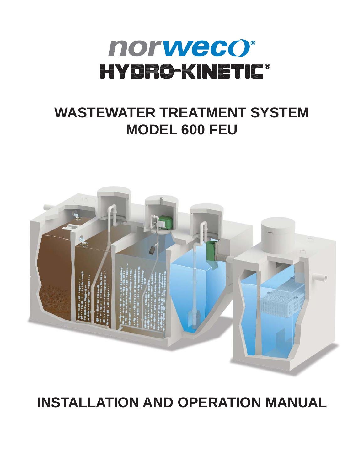# norweco® HYDRO-KINETIC®

# **WASTEWATER TREATMENT SYSTEM MODEL 600 FEU**



# **INSTALLATION AND OPERATION MANUAL**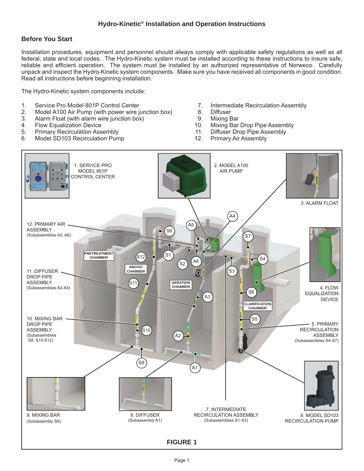# **Before You Start**

Installation procedures, equipment and personnel should always comply with applicable safety regulations as well as all federal, state and local codes. The Hydro-Kinetic system must be installed according to these instructions to insure safe, reliable and efficient operation. The system must be installed by an authorized representative of Norweco. Carefully unpack and inspect the Hydro-Kinetic system components. Make sure you have received all components in good condition. Read all instructions before beginning installation.

The Hydro-Kinetic system components include:

- 1. Service Pro Model 801P Control Center
- 2. Model A100 Air Pump (with power wire junction box)
- 3. Alarm Float (with alarm wire junction box)
- 4. Flow Equalization Device
- 5. Primary Recirculation Assembly
- 6. Model SD103 Recirculation Pump
- 7. Intermediate Recirculation Assembly
- 8. Diffuser
- 9. Mixing Bar
- 10. Mixing Bar Drop Pipe Assembly
- 11. Diffuser Drop Pipe Assembly
- 12. Primary Air Assembly

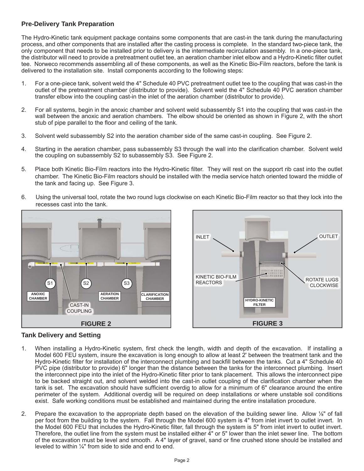# **Pre-Delivery Tank Preparation**

The Hydro-Kinetic tank equipment package contains some components that are cast-in the tank during the manufacturing process, and other components that are installed after the casting process is complete. In the standard two-piece tank, the only component that needs to be installed prior to delivery is the intermediate recirculation assembly. In a one-piece tank, the distributor will need to provide a pretreatment outlet tee, an aeration chamber inlet elbow and a Hydro-Kinetic filter outlet tee. Norweco recommends assembling all of these components, as well as the Kinetic Bio-Film reactors, before the tank is delivered to the installation site. Install components according to the following steps:

- 1. For a one-piece tank, solvent weld the 4" Schedule 40 PVC pretreatment outlet tee to the coupling that was cast-in the outlet of the pretreatment chamber (distributor to provide). Solvent weld the 4" Schedule 40 PVC aeration chamber transfer elbow into the coupling cast-in the inlet of the aeration chamber (distributor to provide).
- 2. For all systems, begin in the anoxic chamber and solvent weld subassembly S1 into the coupling that was cast-in the wall between the anoxic and aeration chambers. The elbow should be oriented as shown in Figure 2, with the short stub of pipe parallel to the floor and ceiling of the tank.
- 3. Solvent weld subassembly S2 into the aeration chamber side of the same cast-in coupling. See Figure 2.
- 4. Starting in the aeration chamber, pass subassembly S3 through the wall into the clarification chamber. Solvent weld the coupling on subassembly S2 to subassembly S3. See Figure 2.
- 5. Place both Kinetic Bio-Film reactors into the Hydro-Kinetic filter. They will rest on the support rib cast into the outlet chamber. The Kinetic Bio-Film reactors should be installed with the media service hatch oriented toward the middle of the tank and facing up. See Figure 3.
- 6. Using the universal tool, rotate the two round lugs clockwise on each Kinetic Bio-Film reactor so that they lock into the recesses cast into the tank.





# **Tank Delivery and Setting**

- 1. When installing a Hydro-Kinetic system, first check the length, width and depth of the excavation. If installing a Model 600 FEU system, insure the excavation is long enough to allow at least 2' between the treatment tank and the Hydro-Kinetic filter for installation of the interconnect plumbing and backfill between the tanks. Cut a 4" Schedule 40 PVC pipe (distributor to provide) 6" longer than the distance between the tanks for the interconnect plumbing. Insert the interconnect pipe into the inlet of the Hydro-Kinetic filter prior to tank placement. This allows the interconnect pipe to be backed straight out, and solvent welded into the cast-in outlet coupling of the clarification chamber when the tank is set. The excavation should have sufficient overdig to allow for a minimum of 6" clearance around the entire perimeter of the system. Additional overdig will be required on deep installations or where unstable soil conditions exist. Safe working conditions must be established and maintained during the entire installation procedure.
- 2. Prepare the excavation to the appropriate depth based on the elevation of the building sewer line. Allow ⅛" of fall per foot from the building to the system. Fall through the Model 600 system is 4" from inlet invert to outlet invert. In the Model 600 FEU that includes the Hydro-Kinetic filter, fall through the system is 5" from inlet invert to outlet invert. Therefore, the outlet line from the system must be installed either 4" or 5" lower than the inlet sewer line. The bottom of the excavation must be level and smooth. A 4" layer of gravel, sand or fine crushed stone should be installed and leveled to within ¼" from side to side and end to end.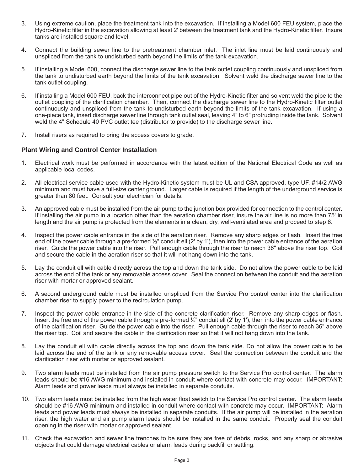- 3. Using extreme caution, place the treatment tank into the excavation. If installing a Model 600 FEU system, place the Hydro-Kinetic filter in the excavation allowing at least 2' between the treatment tank and the Hydro-Kinetic filter. Insure tanks are installed square and level.
- 4. Connect the building sewer line to the pretreatment chamber inlet. The inlet line must be laid continuously and unspliced from the tank to undisturbed earth beyond the limits of the tank excavation.
- 5. If installing a Model 600, connect the discharge sewer line to the tank outlet coupling continuously and unspliced from the tank to undisturbed earth beyond the limits of the tank excavation. Solvent weld the discharge sewer line to the tank outlet coupling.
- 6. If installing a Model 600 FEU, back the interconnect pipe out of the Hydro-Kinetic fi lter and solvent weld the pipe to the outlet coupling of the clarification chamber. Then, connect the discharge sewer line to the Hydro-Kinetic filter outlet continuously and unspliced from the tank to undisturbed earth beyond the limits of the tank excavation. If using a one-piece tank, insert discharge sewer line through tank outlet seal, leaving 4" to 6" protruding inside the tank. Solvent weld the 4" Schedule 40 PVC outlet tee (distributor to provide) to the discharge sewer line.
- 7. Install risers as required to bring the access covers to grade.

#### **Plant Wiring and Control Center Installation**

- 1. Electrical work must be performed in accordance with the latest edition of the National Electrical Code as well as applicable local codes.
- 2. All electrical service cable used with the Hydro-Kinetic system must be UL and CSA approved, type UF, #14/2 AWG minimum and must have a full-size center ground. Larger cable is required if the length of the underground service is greater than 80 feet. Consult your electrician for details.
- 3. An approved cable must be installed from the air pump to the junction box provided for connection to the control center. If installing the air pump in a location other than the aeration chamber riser, insure the air line is no more than 75' in length and the air pump is protected from the elements in a clean, dry, well-ventilated area and proceed to step 6.
- 4. Inspect the power cable entrance in the side of the aeration riser. Remove any sharp edges or flash. Insert the free end of the power cable through a pre-formed  $\frac{1}{2}$ " conduit ell (2' by 1'), then into the power cable entrance of the aeration riser. Guide the power cable into the riser. Pull enough cable through the riser to reach 36" above the riser top. Coil and secure the cable in the aeration riser so that it will not hang down into the tank.
- 5. Lay the conduit ell with cable directly across the top and down the tank side. Do not allow the power cable to be laid across the end of the tank or any removable access cover. Seal the connection between the conduit and the aeration riser with mortar or approved sealant.
- 6. A second underground cable must be installed unspliced from the Service Pro control center into the clarification chamber riser to supply power to the recirculation pump.
- 7. Inspect the power cable entrance in the side of the concrete clarification riser. Remove any sharp edges or flash. Insert the free end of the power cable through a pre-formed ½" conduit ell (2' by 1'), then into the power cable entrance of the clarification riser. Guide the power cable into the riser. Pull enough cable through the riser to reach 36" above the riser top. Coil and secure the cable in the clarification riser so that it will not hang down into the tank.
- 8. Lay the conduit ell with cable directly across the top and down the tank side. Do not allow the power cable to be laid across the end of the tank or any removable access cover. Seal the connection between the conduit and the clarification riser with mortar or approved sealant.
- 9. Two alarm leads must be installed from the air pump pressure switch to the Service Pro control center. The alarm leads should be #16 AWG minimum and installed in conduit where contact with concrete may occur. IMPORTANT: Alarm leads and power leads must always be installed in separate conduits.
- 10. Two alarm leads must be installed from the high water float switch to the Service Pro control center. The alarm leads should be #16 AWG minimum and installed in conduit where contact with concrete may occur. IMPORTANT: Alarm leads and power leads must always be installed in separate conduits. If the air pump will be installed in the aeration riser, the high water and air pump alarm leads should be installed in the same conduit. Properly seal the conduit opening in the riser with mortar or approved sealant.
- 11. Check the excavation and sewer line trenches to be sure they are free of debris, rocks, and any sharp or abrasive objects that could damage electrical cables or alarm leads during backfill or settling.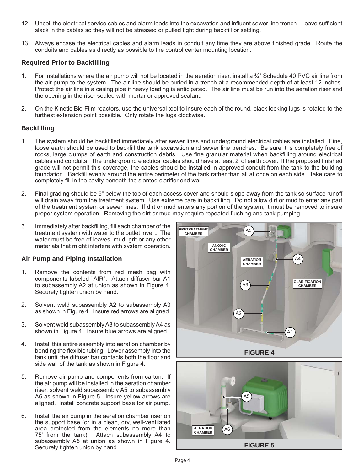- 12. Uncoil the electrical service cables and alarm leads into the excavation and influent sewer line trench. Leave sufficient slack in the cables so they will not be stressed or pulled tight during backfill or settling.
- 13. Always encase the electrical cables and alarm leads in conduit any time they are above finished grade. Route the conduits and cables as directly as possible to the control center mounting location.

#### **Required Prior to Backfi lling**

- 1. For installations where the air pump will not be located in the aeration riser, install a  $\frac{3}{4}$ " Schedule 40 PVC air line from the air pump to the system. The air line should be buried in a trench at a recommended depth of at least 12 inches. Protect the air line in a casing pipe if heavy loading is anticipated. The air line must be run into the aeration riser and the opening in the riser sealed with mortar or approved sealant.
- 2. On the Kinetic Bio-Film reactors, use the universal tool to insure each of the round, black locking lugs is rotated to the furthest extension point possible. Only rotate the lugs clockwise.

#### **Backfi lling**

- 1. The system should be backfilled immediately after sewer lines and underground electrical cables are installed. Fine, loose earth should be used to backfill the tank excavation and sewer line trenches. Be sure it is completely free of rocks, large clumps of earth and construction debris. Use fine granular material when backfilling around electrical cables and conduits. The underground electrical cables should have at least 2' of earth cover. If the proposed finished grade will not permit this coverage, the cables should be installed in approved conduit from the tank to the building foundation. Backfill evenly around the entire perimeter of the tank rather than all at once on each side. Take care to completely fill in the cavity beneath the slanted clarifier end wall.
- 2. Final grading should be 6" below the top of each access cover and should slope away from the tank so surface runoff will drain away from the treatment system. Use extreme care in backfilling. Do not allow dirt or mud to enter any part of the treatment system or sewer lines. If dirt or mud enters any portion of the system, it must be removed to insure proper system operation. Removing the dirt or mud may require repeated flushing and tank pumping.
- 3. Immediately after backfilling, fill each chamber of the treatment system with water to the outlet invert. The water must be free of leaves, mud, grit or any other materials that might interfere with system operation.

#### **Air Pump and Piping Installation**

- 1. Remove the contents from red mesh bag with components labeled "AIR". Attach diffuser bar A1 to subassembly A2 at union as shown in Figure 4. Securely tighten union by hand.
- 2. Solvent weld subassembly A2 to subassembly A3 as shown in Figure 4. Insure red arrows are aligned.
- 3. Solvent weld subassembly A3 to subassembly A4 as shown in Figure 4. Insure blue arrows are aligned.
- 4. Install this entire assembly into aeration chamber by bending the flexible tubing. Lower assembly into the tank until the diffuser bar contacts both the floor and side wall of the tank as shown in Figure 4.
- 5. Remove air pump and components from carton. If the air pump will be installed in the aeration chamber riser, solvent weld subassembly A5 to subassembly A6 as shown in Figure 5. Insure yellow arrows are aligned. Install concrete support base for air pump.
- 6. Install the air pump in the aeration chamber riser on the support base (or in a clean, dry, well-ventilated area protected from the elements no more than 75' from the tank). Attach subassembly A4 to subassembly A5 at union as shown in Figure 4. Securely tighten union by hand.



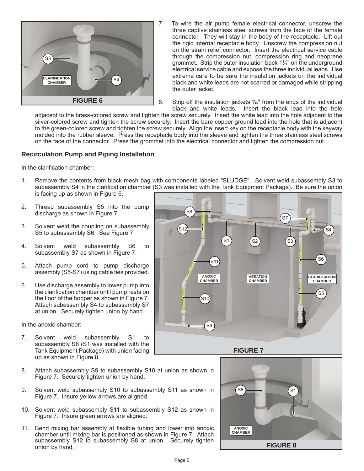

- 7. To wire the air pump female electrical connector, unscrew the three captive stainless steel screws from the face of the female connector. They will stay in the body of the receptacle. Lift out the rigid internal receptacle body. Unscrew the compression nut on the strain relief connector. Insert the electrical service cable through the compression nut, compression ring and neoprene grommet. Strip the outer insulation back 1¼" on the underground electrical service cable and expose the three individual leads. Use extreme care to be sure the insulation jackets on the individual black and white leads are not scarred or damaged while stripping the outer jacket.
- 8. Strip off the insulation jackets **<sup>7</sup>** */***16**" from the ends of the individual black and white leads. Insert the black lead into the hole

adjacent to the brass-colored screw and tighten the screw securely. Insert the white lead into the hole adjacent to the silver-colored screw and tighten the screw securely. Insert the bare copper ground lead into the hole that is adjacent to the green-colored screw and tighten the screw securely. Align the insert key on the receptacle body with the keyway molded into the rubber sleeve. Press the receptacle body into the sleeve and tighten the three stainless steel screws on the face of the connector. Press the grommet into the electrical connector and tighten the compression nut.

#### **Recirculation Pump and Piping Installation**

In the clarification chamber:

- 1. Remove the contents from black mesh bag with components labeled "SLUDGE".Solvent weld subassembly S3 to subassembly S4 in the clarification chamber (S3 was installed with the Tank Equipment Package). Be sure the union is facing up as shown in Figure 6.
- 2. Thread subassembly S5 into the pump discharge as shown in Figure 7.
- 3. Solvent weld the coupling on subassembly S5 to subassembly S6. See Figure 7.
- 4. Solvent weld subassembly S6 to subassembly S7 as shown in Figure 7.
- 5. Attach pump cord to pump discharge assembly (S5-S7) using cable ties provided.
- 6. Use discharge assembly to lower pump into the clarification chamber until pump rests on the floor of the hopper as shown in Figure 7. Attach subassembly S4 to subassembly S7 at union. Securely tighten union by hand.

In the anoxic chamber:

- 7. Solvent weld subassembly S1 to subassembly S8 (S1 was installed with the Tank Equipment Package) with union facing up as shown in Figure 8.
- 8. Attach subassembly S9 to subassembly S10 at union as shown in Figure 7. Securely tighten union by hand.
- 9. Solvent weld subassembly S10 to subassembly S11 as shown in Figure 7. Insure yellow arrows are aligned.
- 10. Solvent weld subassembly S11 to subassembly S12 as shown in Figure 7. Insure green arrows are aligned.
- 11. Bend mixing bar assembly at flexible tubing and lower into anoxic chamber until mixing bar is positioned as shown in Figure 7. Attach subassembly S12 to subassembly S8 at union. Securely tighten union by hand.



**FIGURE 7**

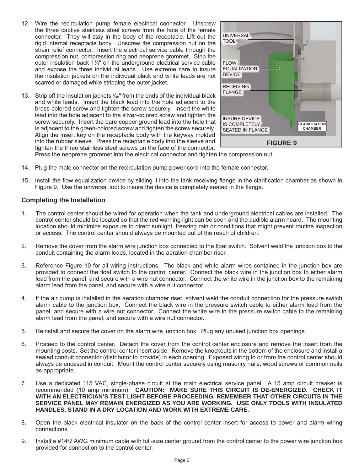- 12. Wire the recirculation pump female electrical connector. Unscrew the three captive stainless steel screws from the face of the female connector. They will stay in the body of the receptacle. Lift out the rigid internal receptacle body. Unscrew the compression nut on the strain relief connector. Insert the electrical service cable through the compression nut, compression ring and neoprene grommet. Strip the outer insulation back 1¼" on the underground electrical service cable and expose the three individual leads. Use extreme care to insure the insulation jackets on the individual black and white leads are not scarred or damaged while stripping the outer jacket.
- 13. Strip off the insulation jackets **<sup>7</sup>** */***16**" from the ends of the individual black and white leads. Insert the black lead into the hole adjacent to the brass-colored screw and tighten the screw securely. Insert the white lead into the hole adjacent to the silver-colored screw and tighten the screw securely. Insert the bare copper ground lead into the hole that is adjacent to the green-colored screw and tighten the screw securely. Align the insert key on the receptacle body with the keyway molded into the rubber sleeve. Press the receptacle body into the sleeve and tighten the three stainless steel screws on the face of the connector.



Press the neoprene grommet into the electrical connector and tighten the compression nut.

- 14. Plug the male connector on the recirculation pump power cord into the female connector.
- 15. Install the flow equalization device by sliding it into the tank receiving flange in the clarification chamber as shown in Figure 9. Use the universal tool to insure the device is completely seated in the flange.

#### **Completing the Installation**

- 1. The control center should be wired for operation when the tank and underground electrical cables are installed. The control center should be located so that the red warning light can be seen and the audible alarm heard. The mounting location should minimize exposure to direct sunlight, freezing rain or conditions that might prevent routine inspection or access. The control center should always be mounted out of the reach of children.
- 2. Remove the cover from the alarm wire junction box connected to the float switch. Solvent weld the junction box to the conduit containing the alarm leads, located in the aeration chamber riser.
- 3. Reference Figure 10 for all wiring instructions. The black and white alarm wires contained in the junction box are provided to connect the float switch to the control center. Connect the black wire in the junction box to either alarm lead from the panel, and secure with a wire nut connector. Connect the white wire in the junction box to the remaining alarm lead from the panel, and secure with a wire nut connector.
- 4. If the air pump is installed in the aeration chamber riser, solvent weld the conduit connection for the pressure switch alarm cable to the junction box. Connect the black wire in the pressure switch cable to either alarm lead from the panel, and secure with a wire nut connector. Connect the white wire in the pressure switch cable to the remaining alarm lead from the panel, and secure with a wire nut connector.
- 5. Reinstall and secure the cover on the alarm wire junction box. Plug any unused junction box openings.
- 6. Proceed to the control center. Detach the cover from the control center enclosure and remove the insert from the mounting posts. Set the control center insert aside. Remove the knockouts in the bottom of the enclosure and install a sealed conduit connector (distributor to provide) in each opening. Exposed wiring to or from the control center should always be encased in conduit. Mount the control center securely using masonry nails, wood screws or common nails as appropriate.
- 7. Use a dedicated 115 VAC, single-phase circuit at the main electrical service panel. A 15 amp circuit breaker is recommended (10 amp minimum). **CAUTION: MAKE SURE THIS CIRCUIT IS DE-ENERGIZED. CHECK IT WITH AN ELECTRICIAN'S TEST LIGHT BEFORE PROCEEDING. REMEMBER THAT OTHER CIRCUITS IN THE SERVICE PANEL MAY REMAIN ENERGIZED AS YOU ARE WORKING. USE ONLY TOOLS WITH INSULATED HANDLES, STAND IN A DRY LOCATION AND WORK WITH EXTREME CARE.**
- 8. Open the black electrical insulator on the back of the control center insert for access to power and alarm wiring connections.
- 9. Install a #14/2 AWG minimum cable with full-size center ground from the control center to the power wire junction box provided for connection to the control center.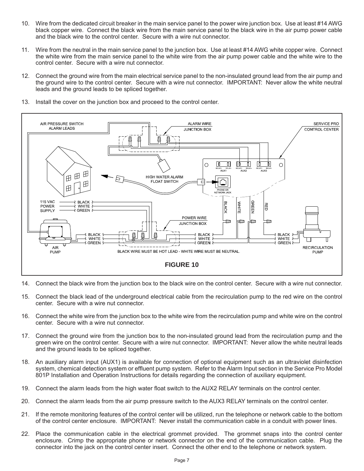- 10. Wire from the dedicated circuit breaker in the main service panel to the power wire junction box. Use at least #14 AWG black copper wire. Connect the black wire from the main service panel to the black wire in the air pump power cable and the black wire to the control center. Secure with a wire nut connector.
- 11. Wire from the neutral in the main service panel to the junction box. Use at least #14 AWG white copper wire. Connect the white wire from the main service panel to the white wire from the air pump power cable and the white wire to the control center. Secure with a wire nut connector.
- 12. Connect the ground wire from the main electrical service panel to the non-insulated ground lead from the air pump and the ground wire to the control center. Secure with a wire nut connector. IMPORTANT: Never allow the white neutral leads and the ground leads to be spliced together.

SERVICE PRO

**CONTROL CENTER** 

**RECIRCULATION** 

PUMP

- AIR PRESSURE SWITCH ALARM WIRE **ALARM LEADS JUNCTION BOX** ᄁ ◫ 匝 可  $\circ$ 10 ╜  $\circ$ ..<br>AUX 1 AUX2 AUX3 田  $\boxplus$ 田 HIGH WATER AI ARM Ь **FLOAT SWITCH** ℍ FFI 115 VAC **BLACK GREEN** WHITE WHITE POWER Ő ACK GREEN **SUPPLY** POWER WIRE  $\Box$ **JUNCTION BOX BLACK** P BLACK ? Ш **PRIACK** WHITE WHITE **WHITE GREEN GREEN** GREEN ? A R BLACK WIRE MUST BE HOT LEAD - WHITE WIRE MUST BE NEUTRAL. PUMP **FIGURE 10**
- 13. Install the cover on the junction box and proceed to the control center.

- 14. Connect the black wire from the junction box to the black wire on the control center. Secure with a wire nut connector.
- 15. Connect the black lead of the underground electrical cable from the recirculation pump to the red wire on the control center. Secure with a wire nut connector.
- 16. Connect the white wire from the junction box to the white wire from the recirculation pump and white wire on the control center. Secure with a wire nut connector.
- 17. Connect the ground wire from the junction box to the non-insulated ground lead from the recirculation pump and the green wire on the control center. Secure with a wire nut connector. IMPORTANT: Never allow the white neutral leads and the ground leads to be spliced together.
- 18. An auxiliary alarm input (AUX1) is available for connection of optional equipment such as an ultraviolet disinfection system, chemical detection system or effluent pump system. Refer to the Alarm Input section in the Service Pro Model 801P Installation and Operation Instructions for details regarding the connection of auxiliary equipment.
- 19. Connect the alarm leads from the high water float switch to the AUX2 RELAY terminals on the control center.
- 20. Connect the alarm leads from the air pump pressure switch to the AUX3 RELAY terminals on the control center.
- 21. If the remote monitoring features of the control center will be utilized, run the telephone or network cable to the bottom of the control center enclosure. IMPORTANT: Never install the communication cable in a conduit with power lines.
- 22. Place the communication cable in the electrical grommet provided. The grommet snaps into the control center enclosure. Crimp the appropriate phone or network connector on the end of the communication cable. Plug the connector into the jack on the control center insert. Connect the other end to the telephone or network system.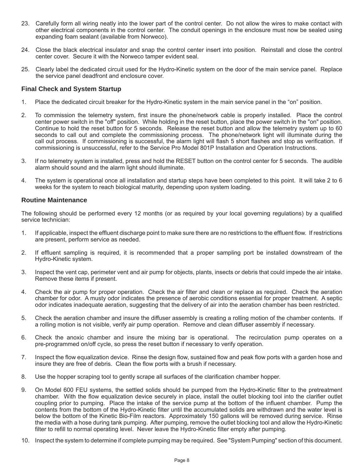- 23. Carefully form all wiring neatly into the lower part of the control center. Do not allow the wires to make contact with other electrical components in the control center. The conduit openings in the enclosure must now be sealed using expanding foam sealant (available from Norweco).
- 24. Close the black electrical insulator and snap the control center insert into position. Reinstall and close the control center cover. Secure it with the Norweco tamper evident seal.
- 25. Clearly label the dedicated circuit used for the Hydro-Kinetic system on the door of the main service panel. Replace the service panel deadfront and enclosure cover.

#### **Final Check and System Startup**

- 1. Place the dedicated circuit breaker for the Hydro-Kinetic system in the main service panel in the "on" position.
- 2. To commission the telemetry system, first insure the phone/network cable is properly installed. Place the control center power switch in the "off" position. While holding in the reset button, place the power switch in the "on" position. Continue to hold the reset button for 5 seconds. Release the reset button and allow the telemetry system up to 60 seconds to call out and complete the commissioning process. The phone/network light will illuminate during the call out process. If commissioning is successful, the alarm light will flash 5 short flashes and stop as verification. If commissioning is unsuccessful, refer to the Service Pro Model 801P Installation and Operation Instructions.
- 3. If no telemetry system is installed, press and hold the RESET button on the control center for 5 seconds. The audible alarm should sound and the alarm light should illuminate.
- 4. The system is operational once all installation and startup steps have been completed to this point. It will take 2 to 6 weeks for the system to reach biological maturity, depending upon system loading.

#### **Routine Maintenance**

The following should be performed every 12 months (or as required by your local governing regulations) by a qualified service technician:

- 1. If applicable, inspect the effluent discharge point to make sure there are no restrictions to the effluent flow. If restrictions are present, perform service as needed.
- 2. If effluent sampling is required, it is recommended that a proper sampling port be installed downstream of the Hydro-Kinetic system.
- 3. Inspect the vent cap, perimeter vent and air pump for objects, plants, insects or debris that could impede the air intake. Remove these items if present.
- 4. Check the air pump for proper operation. Check the air filter and clean or replace as required. Check the aeration chamber for odor. A musty odor indicates the presence of aerobic conditions essential for proper treatment. A septic odor indicates inadequate aeration, suggesting that the delivery of air into the aeration chamber has been restricted.
- 5. Check the aeration chamber and insure the diffuser assembly is creating a rolling motion of the chamber contents. If a rolling motion is not visible, verify air pump operation. Remove and clean diffuser assembly if necessary.
- 6. Check the anoxic chamber and insure the mixing bar is operational. The recirculation pump operates on a pre-programmed on/off cycle, so press the reset button if necessary to verify operation.
- 7. Inspect the flow equalization device. Rinse the design flow, sustained flow and peak flow ports with a garden hose and insure they are free of debris. Clean the flow ports with a brush if necessary.
- 8. Use the hopper scraping tool to gently scrape all surfaces of the clarification chamber hopper.
- 9. On Model 600 FEU systems, the settled solids should be pumped from the Hydro-Kinetic filter to the pretreatment chamber. With the flow equalization device securely in place, install the outlet blocking tool into the clarifier outlet coupling prior to pumping. Place the intake of the service pump at the bottom of the influent chamber. Pump the contents from the bottom of the Hydro-Kinetic filter until the accumulated solids are withdrawn and the water level is below the bottom of the Kinetic Bio-Film reactors. Approximately 150 gallons will be removed during service. Rinse the media with a hose during tank pumping. After pumping, remove the outlet blocking tool and allow the Hydro-Kinetic filter to refill to normal operating level. Never leave the Hydro-Kinetic filter empty after pumping.
- 10. Inspect the system to determine if complete pumping may be required. See "System Pumping" section of this document.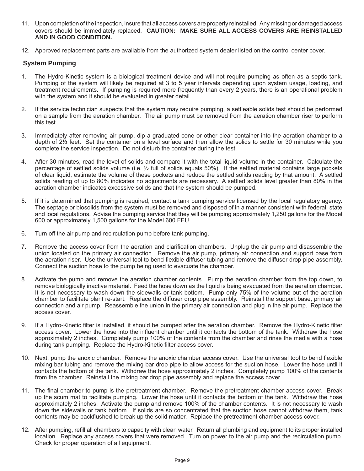- 11. Upon completion of the inspection, insure that all access covers are properly reinstalled. Any missing or damaged access covers should be immediately replaced. **CAUTION: MAKE SURE ALL ACCESS COVERS ARE REINSTALLED AND IN GOOD CONDITION.**
- 12. Approved replacement parts are available from the authorized system dealer listed on the control center cover.

### **System Pumping**

- 1. The Hydro-Kinetic system is a biological treatment device and will not require pumping as often as a septic tank. Pumping of the system will likely be required at 3 to 5 year intervals depending upon system usage, loading, and treatment requirements. If pumping is required more frequently than every 2 years, there is an operational problem with the system and it should be evaluated in greater detail.
- 2. If the service technician suspects that the system may require pumping, a settleable solids test should be performed on a sample from the aeration chamber. The air pump must be removed from the aeration chamber riser to perform this test.
- 3. Immediately after removing air pump, dip a graduated cone or other clear container into the aeration chamber to a depth of 2½ feet. Set the container on a level surface and then allow the solids to settle for 30 minutes while you complete the service inspection. Do not disturb the container during the test.
- 4. After 30 minutes, read the level of solids and compare it with the total liquid volume in the container. Calculate the percentage of settled solids volume (i.e. ½ full of solids equals 50%). If the settled material contains large pockets of clear liquid, estimate the volume of these pockets and reduce the settled solids reading by that amount. A settled solids reading of up to 80% indicates no adjustments are necessary. A settled solids level greater than 80% in the aeration chamber indicates excessive solids and that the system should be pumped.
- 5. If it is determined that pumping is required, contact a tank pumping service licensed by the local regulatory agency. The septage or biosolids from the system must be removed and disposed of in a manner consistent with federal, state and local regulations. Advise the pumping service that they will be pumping approximately 1,250 gallons for the Model 600 or approximately 1,500 gallons for the Model 600 FEU.
- 6. Turn off the air pump and recirculation pump before tank pumping.
- 7. Remove the access cover from the aeration and clarification chambers. Unplug the air pump and disassemble the union located on the primary air connection. Remove the air pump, primary air connection and support base from the aeration riser. Use the universal tool to bend flexible diffuser tubing and remove the diffuser drop pipe assembly. Connect the suction hose to the pump being used to evacuate the chamber.
- 8. Activate the pump and remove the aeration chamber contents. Pump the aeration chamber from the top down, to remove biologically inactive material. Feed the hose down as the liquid is being evacuated from the aeration chamber. It is not necessary to wash down the sidewalls or tank bottom. Pump only 75% of the volume out of the aeration chamber to facilitate plant re-start. Replace the diffuser drop pipe assembly. Reinstall the support base, primary air connection and air pump. Reassemble the union in the primary air connection and plug in the air pump. Replace the access cover.
- 9. If a Hydro-Kinetic filter is installed, it should be pumped after the aeration chamber. Remove the Hydro-Kinetic filter access cover. Lower the hose into the influent chamber until it contacts the bottom of the tank. Withdraw the hose approximately 2 inches. Completely pump 100% of the contents from the chamber and rinse the media with a hose during tank pumping. Replace the Hydro-Kinetic filter access cover.
- 10. Next, pump the anoxic chamber. Remove the anoxic chamber access cover. Use the universal tool to bend flexible mixing bar tubing and remove the mixing bar drop pipe to allow access for the suction hose. Lower the hose until it contacts the bottom of the tank. Withdraw the hose approximately 2 inches. Completely pump 100% of the contents from the chamber. Reinstall the mixing bar drop pipe assembly and replace the access cover.
- 11. The final chamber to pump is the pretreatment chamber. Remove the pretreatment chamber access cover. Break up the scum mat to facilitate pumping. Lower the hose until it contacts the bottom of the tank. Withdraw the hose approximately 2 inches. Activate the pump and remove 100% of the chamber contents. It is not necessary to wash down the sidewalls or tank bottom. If solids are so concentrated that the suction hose cannot withdraw them, tank contents may be backflushed to break up the solid matter. Replace the pretreatment chamber access cover.
- 12. After pumping, refill all chambers to capacity with clean water. Return all plumbing and equipment to its proper installed location. Replace any access covers that were removed. Turn on power to the air pump and the recirculation pump. Check for proper operation of all equipment.